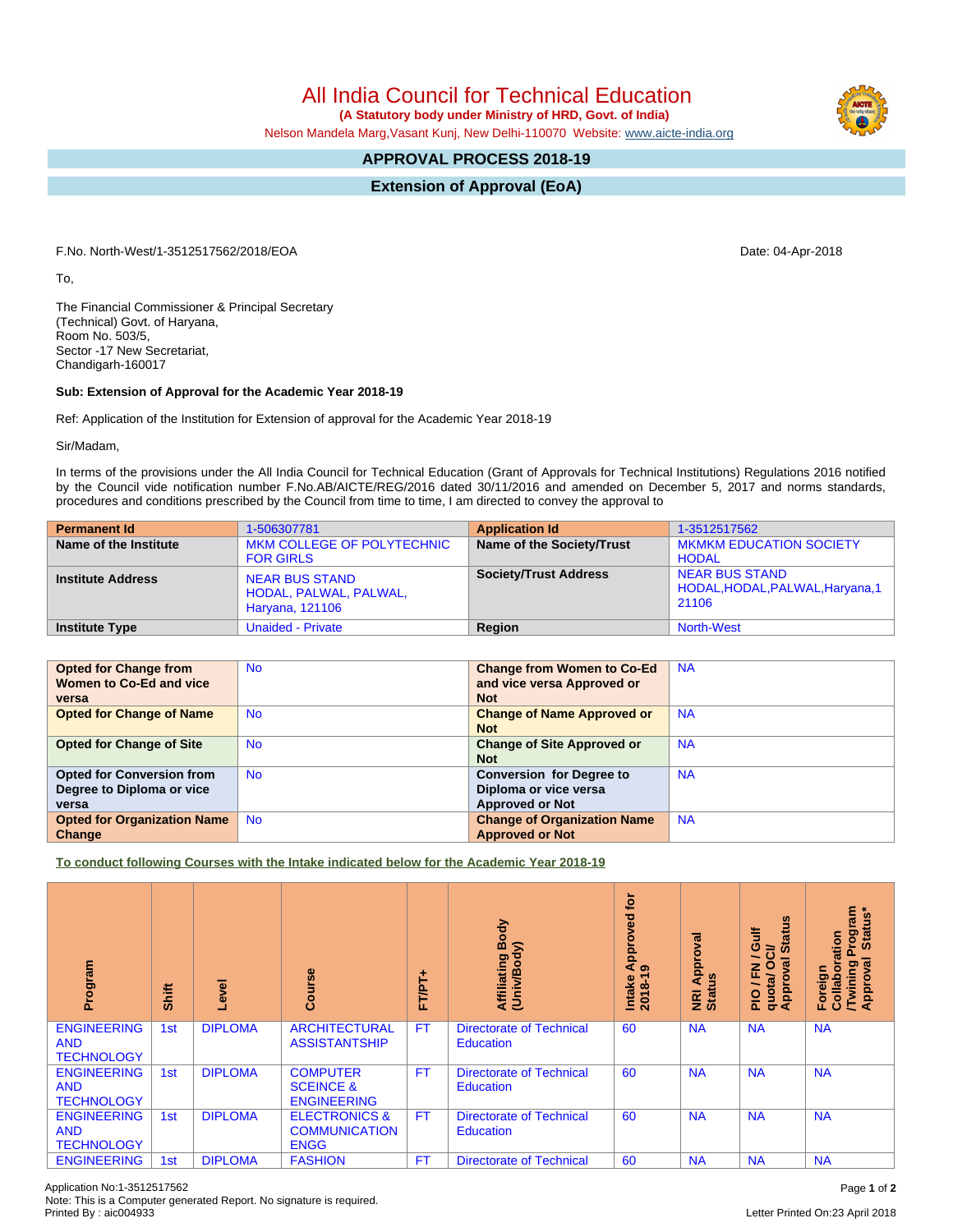All India Council for Technical Education

 **(A Statutory body under Ministry of HRD, Govt. of India)**

Nelson Mandela Marg,Vasant Kunj, New Delhi-110070 Website: [www.aicte-india.org](http://www.aicte-india.org)

## **APPROVAL PROCESS 2018-19**

**Extension of Approval (EoA)**

F.No. North-West/1-3512517562/2018/EOA Date: 04-Apr-2018

To,

The Financial Commissioner & Principal Secretary (Technical) Govt. of Haryana, Room No. 503/5, Sector -17 New Secretariat, Chandigarh-160017

## **Sub: Extension of Approval for the Academic Year 2018-19**

Ref: Application of the Institution for Extension of approval for the Academic Year 2018-19

Sir/Madam,

In terms of the provisions under the All India Council for Technical Education (Grant of Approvals for Technical Institutions) Regulations 2016 notified by the Council vide notification number F.No.AB/AICTE/REG/2016 dated 30/11/2016 and amended on December 5, 2017 and norms standards, procedures and conditions prescribed by the Council from time to time, I am directed to convey the approval to

| <b>Permanent Id</b>      | 1-506307781                                                        | <b>Application Id</b>        | 1-3512517562                                                       |
|--------------------------|--------------------------------------------------------------------|------------------------------|--------------------------------------------------------------------|
| Name of the Institute    | MKM COLLEGE OF POLYTECHNIC<br><b>FOR GIRLS</b>                     | Name of the Society/Trust    | <b>MKMKM EDUCATION SOCIETY</b><br><b>HODAL</b>                     |
| <b>Institute Address</b> | <b>NEAR BUS STAND</b><br>HODAL, PALWAL, PALWAL,<br>Haryana, 121106 | <b>Society/Trust Address</b> | <b>NEAR BUS STAND</b><br>HODAL, HODAL, PALWAL, Haryana, 1<br>21106 |
| <b>Institute Type</b>    | <b>Unaided - Private</b>                                           | Region                       | North-West                                                         |

| <b>Opted for Change from</b>       | <b>No</b> | <b>Change from Women to Co-Ed</b>  | <b>NA</b> |
|------------------------------------|-----------|------------------------------------|-----------|
| Women to Co-Ed and vice            |           | and vice versa Approved or         |           |
| versa                              |           | <b>Not</b>                         |           |
| <b>Opted for Change of Name</b>    | <b>No</b> | <b>Change of Name Approved or</b>  | <b>NA</b> |
|                                    |           | <b>Not</b>                         |           |
| <b>Opted for Change of Site</b>    | <b>No</b> | <b>Change of Site Approved or</b>  | <b>NA</b> |
|                                    |           | <b>Not</b>                         |           |
| <b>Opted for Conversion from</b>   | <b>No</b> | <b>Conversion for Degree to</b>    | <b>NA</b> |
| Degree to Diploma or vice          |           | Diploma or vice versa              |           |
| versa                              |           | <b>Approved or Not</b>             |           |
| <b>Opted for Organization Name</b> | <b>No</b> | <b>Change of Organization Name</b> | <b>NA</b> |
| Change                             |           | <b>Approved or Not</b>             |           |

**To conduct following Courses with the Intake indicated below for the Academic Year 2018-19**

| Program                                               | Shift | Level          | rse<br>ပ္ပြ                                                     | T/PT.<br>u. | Body<br>Affiliating Book<br>(Univ/Body)             | <b>b</b><br>yed<br>ppro<br>ৰ<br>െ<br>$2018 - 1$<br>Intake | ड़<br>Approv<br><b>NRI Ap</b><br>Status | <b>S</b><br>青<br><b>State</b><br>$\ddot{\circ}$<br>້៰<br>∽<br>0<br>g<br>준<br>quota/<br>Approv<br>$rac{1}{2}$ | <b>rogram</b><br>Status*<br>Collaboration<br>۵<br>ड़<br>Twining<br>Foreign<br>Appro |
|-------------------------------------------------------|-------|----------------|-----------------------------------------------------------------|-------------|-----------------------------------------------------|-----------------------------------------------------------|-----------------------------------------|--------------------------------------------------------------------------------------------------------------|-------------------------------------------------------------------------------------|
| <b>ENGINEERING</b><br><b>AND</b><br><b>TECHNOLOGY</b> | 1st   | <b>DIPLOMA</b> | <b>ARCHITECTURAL</b><br><b>ASSISTANTSHIP</b>                    | <b>FT</b>   | <b>Directorate of Technical</b><br>Education        | 60                                                        | <b>NA</b>                               | <b>NA</b>                                                                                                    | <b>NA</b>                                                                           |
| <b>ENGINEERING</b><br><b>AND</b><br><b>TECHNOLOGY</b> | 1st   | <b>DIPLOMA</b> | <b>COMPUTER</b><br><b>SCEINCE &amp;</b><br><b>ENGINEERING</b>   | <b>FT</b>   | <b>Directorate of Technical</b><br>Education        | 60                                                        | <b>NA</b>                               | <b>NA</b>                                                                                                    | <b>NA</b>                                                                           |
| <b>ENGINEERING</b><br><b>AND</b><br><b>TECHNOLOGY</b> | 1st   | <b>DIPLOMA</b> | <b>ELECTRONICS &amp;</b><br><b>COMMUNICATION</b><br><b>ENGG</b> | <b>FT</b>   | <b>Directorate of Technical</b><br><b>Education</b> | 60                                                        | <b>NA</b>                               | <b>NA</b>                                                                                                    | <b>NA</b>                                                                           |
| <b>ENGINEERING</b>                                    | 1st   | <b>DIPLOMA</b> | <b>FASHION</b>                                                  | FT          | <b>Directorate of Technical</b>                     | 60                                                        | <b>NA</b>                               | <b>NA</b>                                                                                                    | <b>NA</b>                                                                           |